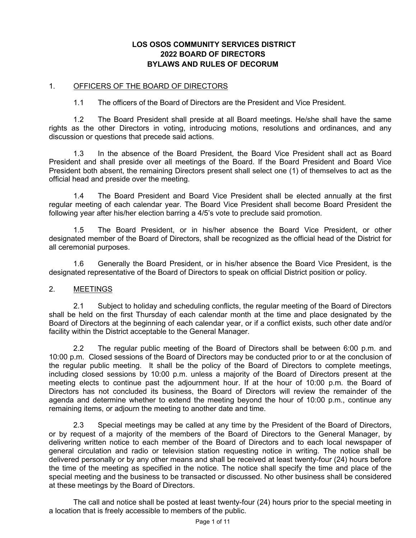# **LOS OSOS COMMUNITY SERVICES DISTRICT 2022 BOARD OF DIRECTORS BYLAWS AND RULES OF DECORUM**

#### 1. OFFICERS OF THE BOARD OF DIRECTORS

1.1 The officers of the Board of Directors are the President and Vice President.

1.2 The Board President shall preside at all Board meetings. He/she shall have the same rights as the other Directors in voting, introducing motions, resolutions and ordinances, and any discussion or questions that precede said actions.

1.3 In the absence of the Board President, the Board Vice President shall act as Board President and shall preside over all meetings of the Board. If the Board President and Board Vice President both absent, the remaining Directors present shall select one (1) of themselves to act as the official head and preside over the meeting.

1.4 The Board President and Board Vice President shall be elected annually at the first regular meeting of each calendar year. The Board Vice President shall become Board President the following year after his/her election barring a 4/5's vote to preclude said promotion.

1.5 The Board President, or in his/her absence the Board Vice President, or other designated member of the Board of Directors, shall be recognized as the official head of the District for all ceremonial purposes.

1.6 Generally the Board President, or in his/her absence the Board Vice President, is the designated representative of the Board of Directors to speak on official District position or policy.

#### 2. MEETINGS

2.1 Subject to holiday and scheduling conflicts, the regular meeting of the Board of Directors shall be held on the first Thursday of each calendar month at the time and place designated by the Board of Directors at the beginning of each calendar year, or if a conflict exists, such other date and/or facility within the District acceptable to the General Manager.

2.2 The regular public meeting of the Board of Directors shall be between 6:00 p.m. and 10:00 p.m. Closed sessions of the Board of Directors may be conducted prior to or at the conclusion of the regular public meeting. It shall be the policy of the Board of Directors to complete meetings, including closed sessions by 10:00 p.m. unless a majority of the Board of Directors present at the meeting elects to continue past the adjournment hour. If at the hour of 10:00 p.m. the Board of Directors has not concluded its business, the Board of Directors will review the remainder of the agenda and determine whether to extend the meeting beyond the hour of 10:00 p.m., continue any remaining items, or adjourn the meeting to another date and time.

2.3 Special meetings may be called at any time by the President of the Board of Directors, or by request of a majority of the members of the Board of Directors to the General Manager, by delivering written notice to each member of the Board of Directors and to each local newspaper of general circulation and radio or television station requesting notice in writing. The notice shall be delivered personally or by any other means and shall be received at least twenty-four (24) hours before the time of the meeting as specified in the notice. The notice shall specify the time and place of the special meeting and the business to be transacted or discussed. No other business shall be considered at these meetings by the Board of Directors.

The call and notice shall be posted at least twenty-four (24) hours prior to the special meeting in a location that is freely accessible to members of the public.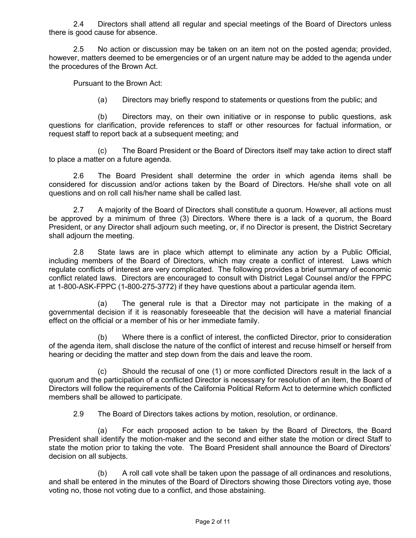2.4 Directors shall attend all regular and special meetings of the Board of Directors unless there is good cause for absence.

2.5 No action or discussion may be taken on an item not on the posted agenda; provided, however, matters deemed to be emergencies or of an urgent nature may be added to the agenda under the procedures of the Brown Act.

Pursuant to the Brown Act:

(a) Directors may briefly respond to statements or questions from the public; and

(b) Directors may, on their own initiative or in response to public questions, ask questions for clarification, provide references to staff or other resources for factual information, or request staff to report back at a subsequent meeting; and

(c) The Board President or the Board of Directors itself may take action to direct staff to place a matter on a future agenda.

2.6 The Board President shall determine the order in which agenda items shall be considered for discussion and/or actions taken by the Board of Directors. He/she shall vote on all questions and on roll call his/her name shall be called last.

2.7 A majority of the Board of Directors shall constitute a quorum. However, all actions must be approved by a minimum of three (3) Directors. Where there is a lack of a quorum, the Board President, or any Director shall adjourn such meeting, or, if no Director is present, the District Secretary shall adjourn the meeting.

2.8 State laws are in place which attempt to eliminate any action by a Public Official, including members of the Board of Directors, which may create a conflict of interest. Laws which regulate conflicts of interest are very complicated. The following provides a brief summary of economic conflict related laws. Directors are encouraged to consult with District Legal Counsel and/or the FPPC at 1-800-ASK-FPPC (1-800-275-3772) if they have questions about a particular agenda item.

(a) The general rule is that a Director may not participate in the making of a governmental decision if it is reasonably foreseeable that the decision will have a material financial effect on the official or a member of his or her immediate family.

(b) Where there is a conflict of interest, the conflicted Director, prior to consideration of the agenda item, shall disclose the nature of the conflict of interest and recuse himself or herself from hearing or deciding the matter and step down from the dais and leave the room.

(c) Should the recusal of one (1) or more conflicted Directors result in the lack of a quorum and the participation of a conflicted Director is necessary for resolution of an item, the Board of Directors will follow the requirements of the California Political Reform Act to determine which conflicted members shall be allowed to participate.

2.9 The Board of Directors takes actions by motion, resolution, or ordinance.

(a) For each proposed action to be taken by the Board of Directors, the Board President shall identify the motion-maker and the second and either state the motion or direct Staff to state the motion prior to taking the vote. The Board President shall announce the Board of Directors' decision on all subjects.

(b) A roll call vote shall be taken upon the passage of all ordinances and resolutions, and shall be entered in the minutes of the Board of Directors showing those Directors voting aye, those voting no, those not voting due to a conflict, and those abstaining.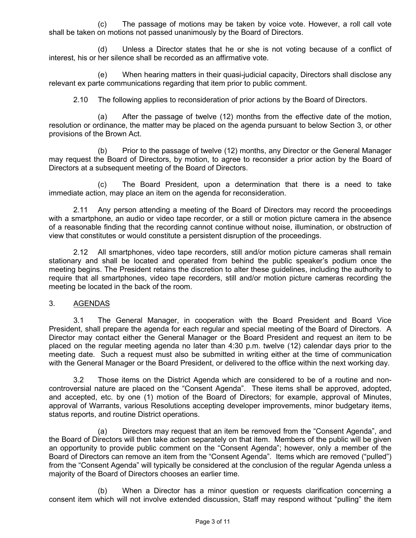(c) The passage of motions may be taken by voice vote. However, a roll call vote shall be taken on motions not passed unanimously by the Board of Directors.

(d) Unless a Director states that he or she is not voting because of a conflict of interest, his or her silence shall be recorded as an affirmative vote.

(e) When hearing matters in their quasi-judicial capacity, Directors shall disclose any relevant ex parte communications regarding that item prior to public comment.

2.10 The following applies to reconsideration of prior actions by the Board of Directors.

(a) After the passage of twelve (12) months from the effective date of the motion, resolution or ordinance, the matter may be placed on the agenda pursuant to below Section 3, or other provisions of the Brown Act.

(b) Prior to the passage of twelve (12) months, any Director or the General Manager may request the Board of Directors, by motion, to agree to reconsider a prior action by the Board of Directors at a subsequent meeting of the Board of Directors.

(c) The Board President, upon a determination that there is a need to take immediate action, may place an item on the agenda for reconsideration.

2.11 Any person attending a meeting of the Board of Directors may record the proceedings with a smartphone, an audio or video tape recorder, or a still or motion picture camera in the absence of a reasonable finding that the recording cannot continue without noise, illumination, or obstruction of view that constitutes or would constitute a persistent disruption of the proceedings.

2.12 All smartphones, video tape recorders, still and/or motion picture cameras shall remain stationary and shall be located and operated from behind the public speaker's podium once the meeting begins. The President retains the discretion to alter these guidelines, including the authority to require that all smartphones, video tape recorders, still and/or motion picture cameras recording the meeting be located in the back of the room.

## 3. AGENDAS

3.1 The General Manager, in cooperation with the Board President and Board Vice President, shall prepare the agenda for each regular and special meeting of the Board of Directors. A Director may contact either the General Manager or the Board President and request an item to be placed on the regular meeting agenda no later than 4:30 p.m. twelve (12) calendar days prior to the meeting date. Such a request must also be submitted in writing either at the time of communication with the General Manager or the Board President, or delivered to the office within the next working day.

3.2 Those items on the District Agenda which are considered to be of a routine and noncontroversial nature are placed on the "Consent Agenda". These items shall be approved, adopted, and accepted, etc. by one (1) motion of the Board of Directors; for example, approval of Minutes, approval of Warrants, various Resolutions accepting developer improvements, minor budgetary items, status reports, and routine District operations.

(a) Directors may request that an item be removed from the "Consent Agenda", and the Board of Directors will then take action separately on that item. Members of the public will be given an opportunity to provide public comment on the "Consent Agenda"; however, only a member of the Board of Directors can remove an item from the "Consent Agenda". Items which are removed ("pulled") from the "Consent Agenda" will typically be considered at the conclusion of the regular Agenda unless a majority of the Board of Directors chooses an earlier time.

(b) When a Director has a minor question or requests clarification concerning a consent item which will not involve extended discussion, Staff may respond without "pulling" the item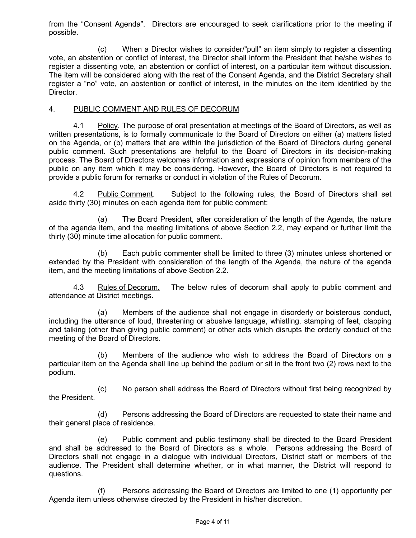from the "Consent Agenda". Directors are encouraged to seek clarifications prior to the meeting if possible.

(c) When a Director wishes to consider/"pull" an item simply to register a dissenting vote, an abstention or conflict of interest, the Director shall inform the President that he/she wishes to register a dissenting vote, an abstention or conflict of interest, on a particular item without discussion. The item will be considered along with the rest of the Consent Agenda, and the District Secretary shall register a "no" vote, an abstention or conflict of interest, in the minutes on the item identified by the Director.

#### 4. PUBLIC COMMENT AND RULES OF DECORUM

4.1 Policy. The purpose of oral presentation at meetings of the Board of Directors, as well as written presentations, is to formally communicate to the Board of Directors on either (a) matters listed on the Agenda, or (b) matters that are within the jurisdiction of the Board of Directors during general public comment. Such presentations are helpful to the Board of Directors in its decision-making process. The Board of Directors welcomes information and expressions of opinion from members of the public on any item which it may be considering. However, the Board of Directors is not required to provide a public forum for remarks or conduct in violation of the Rules of Decorum.

4.2 Public Comment. Subject to the following rules, the Board of Directors shall set aside thirty (30) minutes on each agenda item for public comment:

(a) The Board President, after consideration of the length of the Agenda, the nature of the agenda item, and the meeting limitations of above Section 2.2, may expand or further limit the thirty (30) minute time allocation for public comment.

(b) Each public commenter shall be limited to three (3) minutes unless shortened or extended by the President with consideration of the length of the Agenda, the nature of the agenda item, and the meeting limitations of above Section 2.2.

4.3 Rules of Decorum. The below rules of decorum shall apply to public comment and attendance at District meetings.

(a) Members of the audience shall not engage in disorderly or boisterous conduct, including the utterance of loud, threatening or abusive language, whistling, stamping of feet, clapping and talking (other than giving public comment) or other acts which disrupts the orderly conduct of the meeting of the Board of Directors.

(b) Members of the audience who wish to address the Board of Directors on a particular item on the Agenda shall line up behind the podium or sit in the front two (2) rows next to the podium.

(c) No person shall address the Board of Directors without first being recognized by the President.

(d) Persons addressing the Board of Directors are requested to state their name and their general place of residence.

(e) Public comment and public testimony shall be directed to the Board President and shall be addressed to the Board of Directors as a whole. Persons addressing the Board of Directors shall not engage in a dialogue with individual Directors, District staff or members of the audience. The President shall determine whether, or in what manner, the District will respond to questions.

(f) Persons addressing the Board of Directors are limited to one (1) opportunity per Agenda item unless otherwise directed by the President in his/her discretion.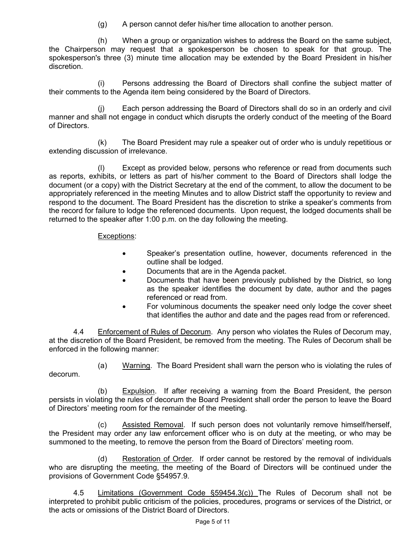(g) A person cannot defer his/her time allocation to another person.

(h) When a group or organization wishes to address the Board on the same subject, the Chairperson may request that a spokesperson be chosen to speak for that group. The spokesperson's three (3) minute time allocation may be extended by the Board President in his/her discretion.

(i) Persons addressing the Board of Directors shall confine the subject matter of their comments to the Agenda item being considered by the Board of Directors.

(j) Each person addressing the Board of Directors shall do so in an orderly and civil manner and shall not engage in conduct which disrupts the orderly conduct of the meeting of the Board of Directors.

(k) The Board President may rule a speaker out of order who is unduly repetitious or extending discussion of irrelevance.

(l) Except as provided below, persons who reference or read from documents such as reports, exhibits, or letters as part of his/her comment to the Board of Directors shall lodge the document (or a copy) with the District Secretary at the end of the comment, to allow the document to be appropriately referenced in the meeting Minutes and to allow District staff the opportunity to review and respond to the document. The Board President has the discretion to strike a speaker's comments from the record for failure to lodge the referenced documents. Upon request, the lodged documents shall be returned to the speaker after 1:00 p.m. on the day following the meeting.

## Exceptions:

- Speaker's presentation outline, however, documents referenced in the outline shall be lodged.
- Documents that are in the Agenda packet.
- Documents that have been previously published by the District, so long as the speaker identifies the document by date, author and the pages referenced or read from.
- For voluminous documents the speaker need only lodge the cover sheet that identifies the author and date and the pages read from or referenced.

4.4 Enforcement of Rules of Decorum. Any person who violates the Rules of Decorum may, at the discretion of the Board President, be removed from the meeting. The Rules of Decorum shall be enforced in the following manner:

(a) Warning. The Board President shall warn the person who is violating the rules of decorum.

(b) Expulsion. If after receiving a warning from the Board President, the person persists in violating the rules of decorum the Board President shall order the person to leave the Board of Directors' meeting room for the remainder of the meeting.

(c) Assisted Removal. If such person does not voluntarily remove himself/herself, the President may order any law enforcement officer who is on duty at the meeting, or who may be summoned to the meeting, to remove the person from the Board of Directors' meeting room.

(d) Restoration of Order. If order cannot be restored by the removal of individuals who are disrupting the meeting, the meeting of the Board of Directors will be continued under the provisions of Government Code §54957.9.

4.5 Limitations (Government Code §59454.3(c)) The Rules of Decorum shall not be interpreted to prohibit public criticism of the policies, procedures, programs or services of the District, or the acts or omissions of the District Board of Directors.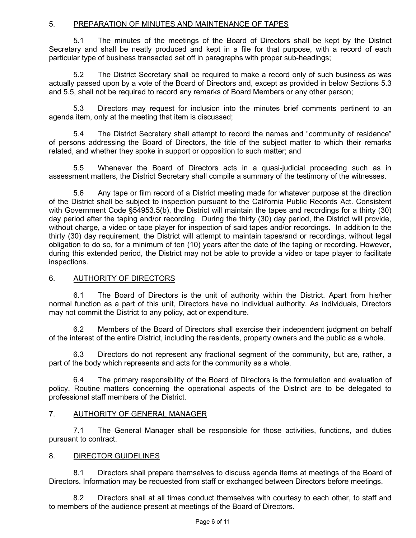# 5. PREPARATION OF MINUTES AND MAINTENANCE OF TAPES

5.1 The minutes of the meetings of the Board of Directors shall be kept by the District Secretary and shall be neatly produced and kept in a file for that purpose, with a record of each particular type of business transacted set off in paragraphs with proper sub-headings;

5.2 The District Secretary shall be required to make a record only of such business as was actually passed upon by a vote of the Board of Directors and, except as provided in below Sections 5.3 and 5.5, shall not be required to record any remarks of Board Members or any other person;

5.3 Directors may request for inclusion into the minutes brief comments pertinent to an agenda item, only at the meeting that item is discussed;

5.4 The District Secretary shall attempt to record the names and "community of residence" of persons addressing the Board of Directors, the title of the subject matter to which their remarks related, and whether they spoke in support or opposition to such matter; and

5.5 Whenever the Board of Directors acts in a quasi-judicial proceeding such as in assessment matters, the District Secretary shall compile a summary of the testimony of the witnesses.

5.6 Any tape or film record of a District meeting made for whatever purpose at the direction of the District shall be subject to inspection pursuant to the California Public Records Act. Consistent with Government Code §54953.5(b), the District will maintain the tapes and recordings for a thirty (30) day period after the taping and/or recording. During the thirty (30) day period, the District will provide, without charge, a video or tape player for inspection of said tapes and/or recordings. In addition to the thirty (30) day requirement, the District will attempt to maintain tapes/and or recordings, without legal obligation to do so, for a minimum of ten (10) years after the date of the taping or recording. However, during this extended period, the District may not be able to provide a video or tape player to facilitate inspections.

# 6. AUTHORITY OF DIRECTORS

6.1 The Board of Directors is the unit of authority within the District. Apart from his/her normal function as a part of this unit, Directors have no individual authority. As individuals, Directors may not commit the District to any policy, act or expenditure.

6.2 Members of the Board of Directors shall exercise their independent judgment on behalf of the interest of the entire District, including the residents, property owners and the public as a whole.

6.3 Directors do not represent any fractional segment of the community, but are, rather, a part of the body which represents and acts for the community as a whole.

6.4 The primary responsibility of the Board of Directors is the formulation and evaluation of policy. Routine matters concerning the operational aspects of the District are to be delegated to professional staff members of the District.

## 7. AUTHORITY OF GENERAL MANAGER

7.1 The General Manager shall be responsible for those activities, functions, and duties pursuant to contract.

## 8. DIRECTOR GUIDELINES

8.1 Directors shall prepare themselves to discuss agenda items at meetings of the Board of Directors. Information may be requested from staff or exchanged between Directors before meetings.

8.2 Directors shall at all times conduct themselves with courtesy to each other, to staff and to members of the audience present at meetings of the Board of Directors.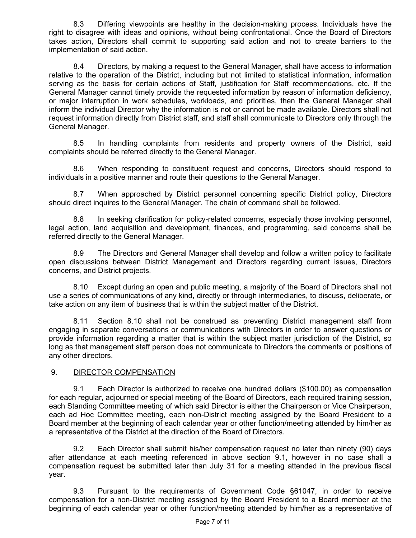8.3 Differing viewpoints are healthy in the decision-making process. Individuals have the right to disagree with ideas and opinions, without being confrontational. Once the Board of Directors takes action, Directors shall commit to supporting said action and not to create barriers to the implementation of said action.

8.4 Directors, by making a request to the General Manager, shall have access to information relative to the operation of the District, including but not limited to statistical information, information serving as the basis for certain actions of Staff, justification for Staff recommendations, etc. If the General Manager cannot timely provide the requested information by reason of information deficiency, or major interruption in work schedules, workloads, and priorities, then the General Manager shall inform the individual Director why the information is not or cannot be made available. Directors shall not request information directly from District staff, and staff shall communicate to Directors only through the General Manager.

8.5 In handling complaints from residents and property owners of the District, said complaints should be referred directly to the General Manager.

8.6 When responding to constituent request and concerns, Directors should respond to individuals in a positive manner and route their questions to the General Manager.

8.7 When approached by District personnel concerning specific District policy, Directors should direct inquires to the General Manager. The chain of command shall be followed.

8.8 In seeking clarification for policy-related concerns, especially those involving personnel, legal action, land acquisition and development, finances, and programming, said concerns shall be referred directly to the General Manager.

8.9 The Directors and General Manager shall develop and follow a written policy to facilitate open discussions between District Management and Directors regarding current issues, Directors concerns, and District projects.

8.10 Except during an open and public meeting, a majority of the Board of Directors shall not use a series of communications of any kind, directly or through intermediaries, to discuss, deliberate, or take action on any item of business that is within the subject matter of the District.

8.11 Section 8.10 shall not be construed as preventing District management staff from engaging in separate conversations or communications with Directors in order to answer questions or provide information regarding a matter that is within the subject matter jurisdiction of the District, so long as that management staff person does not communicate to Directors the comments or positions of any other directors.

## 9. DIRECTOR COMPENSATION

9.1 Each Director is authorized to receive one hundred dollars (\$100.00) as compensation for each regular, adjourned or special meeting of the Board of Directors, each required training session, each Standing Committee meeting of which said Director is either the Chairperson or Vice Chairperson, each ad Hoc Committee meeting, each non-District meeting assigned by the Board President to a Board member at the beginning of each calendar year or other function/meeting attended by him/her as a representative of the District at the direction of the Board of Directors.

9.2 Each Director shall submit his/her compensation request no later than ninety (90) days after attendance at each meeting referenced in above section 9.1, however in no case shall a compensation request be submitted later than July 31 for a meeting attended in the previous fiscal year.

9.3 Pursuant to the requirements of Government Code §61047, in order to receive compensation for a non-District meeting assigned by the Board President to a Board member at the beginning of each calendar year or other function/meeting attended by him/her as a representative of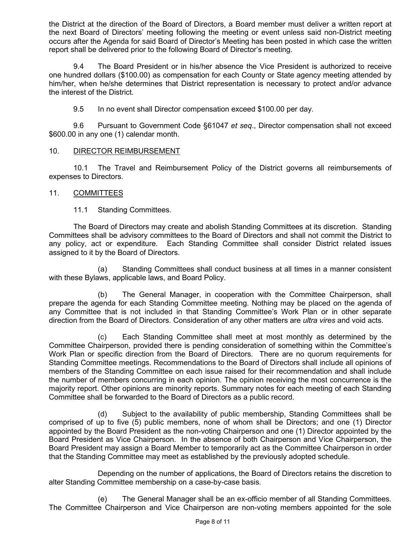the District at the direction of the Board of Directors, a Board member must deliver a written report at the next Board of Directors' meeting following the meeting or event unless said non-District meeting occurs after the Agenda for said Board of Director's Meeting has been posted in which case the written report shall be delivered prior to the following Board of Director's meeting.

9.4 The Board President or in his/her absence the Vice President is authorized to receive one hundred dollars (\$100.00) as compensation for each County or State agency meeting attended by him/her, when he/she determines that District representation is necessary to protect and/or advance the interest of the District.

9.5 In no event shall Director compensation exceed \$100.00 per day.

9.6 Pursuant to Government Code §61047 *et seq*., Director compensation shall not exceed \$600.00 in any one (1) calendar month.

## 10. DIRECTOR REIMBURSEMENT

10.1 The Travel and Reimbursement Policy of the District governs all reimbursements of expenses to Directors.

## 11. COMMITTEES

11.1 Standing Committees.

The Board of Directors may create and abolish Standing Committees at its discretion. Standing Committees shall be advisory committees to the Board of Directors and shall not commit the District to any policy, act or expenditure. Each Standing Committee shall consider District related issues assigned to it by the Board of Directors.

(a) Standing Committees shall conduct business at all times in a manner consistent with these Bylaws, applicable laws, and Board Policy.

(b) The General Manager, in cooperation with the Committee Chairperson, shall prepare the agenda for each Standing Committee meeting. Nothing may be placed on the agenda of any Committee that is not included in that Standing Committee's Work Plan or in other separate direction from the Board of Directors. Consideration of any other matters are *ultra vires* and void acts.

(c) Each Standing Committee shall meet at most monthly as determined by the Committee Chairperson, provided there is pending consideration of something within the Committee's Work Plan or specific direction from the Board of Directors. There are no quorum requirements for Standing Committee meetings. Recommendations to the Board of Directors shall include all opinions of members of the Standing Committee on each issue raised for their recommendation and shall include the number of members concurring in each opinion. The opinion receiving the most concurrence is the majority report. Other opinions are minority reports. Summary notes for each meeting of each Standing Committee shall be forwarded to the Board of Directors as a public record.

(d) Subject to the availability of public membership, Standing Committees shall be comprised of up to five (5) public members, none of whom shall be Directors; and one (1) Director appointed by the Board President as the non-voting Chairperson and one (1) Director appointed by the Board President as Vice Chairperson. In the absence of both Chairperson and Vice Chairperson, the Board President may assign a Board Member to temporarily act as the Committee Chairperson in order that the Standing Committee may meet as established by the previously adopted schedule.

Depending on the number of applications, the Board of Directors retains the discretion to alter Standing Committee membership on a case-by-case basis.

(e) The General Manager shall be an ex-officio member of all Standing Committees. The Committee Chairperson and Vice Chairperson are non-voting members appointed for the sole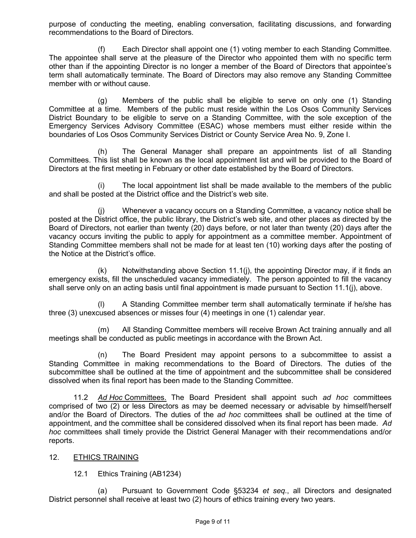purpose of conducting the meeting, enabling conversation, facilitating discussions, and forwarding recommendations to the Board of Directors.

(f) Each Director shall appoint one (1) voting member to each Standing Committee. The appointee shall serve at the pleasure of the Director who appointed them with no specific term other than if the appointing Director is no longer a member of the Board of Directors that appointee's term shall automatically terminate. The Board of Directors may also remove any Standing Committee member with or without cause.

(g) Members of the public shall be eligible to serve on only one (1) Standing Committee at a time. Members of the public must reside within the Los Osos Community Services District Boundary to be eligible to serve on a Standing Committee, with the sole exception of the Emergency Services Advisory Committee (ESAC) whose members must either reside within the boundaries of Los Osos Community Services District or County Service Area No. 9, Zone I.

(h) The General Manager shall prepare an appointments list of all Standing Committees. This list shall be known as the local appointment list and will be provided to the Board of Directors at the first meeting in February or other date established by the Board of Directors.

(i) The local appointment list shall be made available to the members of the public and shall be posted at the District office and the District's web site.

(j) Whenever a vacancy occurs on a Standing Committee, a vacancy notice shall be posted at the District office, the public library, the District's web site, and other places as directed by the Board of Directors, not earlier than twenty (20) days before, or not later than twenty (20) days after the vacancy occurs inviting the public to apply for appointment as a committee member. Appointment of Standing Committee members shall not be made for at least ten (10) working days after the posting of the Notice at the District's office.

(k) Notwithstanding above Section 11.1(j), the appointing Director may, if it finds an emergency exists, fill the unscheduled vacancy immediately. The person appointed to fill the vacancy shall serve only on an acting basis until final appointment is made pursuant to Section 11.1(j), above.

(l) A Standing Committee member term shall automatically terminate if he/she has three (3) unexcused absences or misses four (4) meetings in one (1) calendar year.

(m) All Standing Committee members will receive Brown Act training annually and all meetings shall be conducted as public meetings in accordance with the Brown Act.

(n) The Board President may appoint persons to a subcommittee to assist a Standing Committee in making recommendations to the Board of Directors. The duties of the subcommittee shall be outlined at the time of appointment and the subcommittee shall be considered dissolved when its final report has been made to the Standing Committee.

11.2 *Ad Hoc* Committees. The Board President shall appoint such *ad hoc* committees comprised of two (2) or less Directors as may be deemed necessary or advisable by himself/herself and/or the Board of Directors. The duties of the *ad hoc* committees shall be outlined at the time of appointment, and the committee shall be considered dissolved when its final report has been made. *Ad hoc* committees shall timely provide the District General Manager with their recommendations and/or reports.

## 12. ETHICS TRAINING

12.1 Ethics Training (AB1234)

(a) Pursuant to Government Code §53234 *et seq*., all Directors and designated District personnel shall receive at least two (2) hours of ethics training every two years.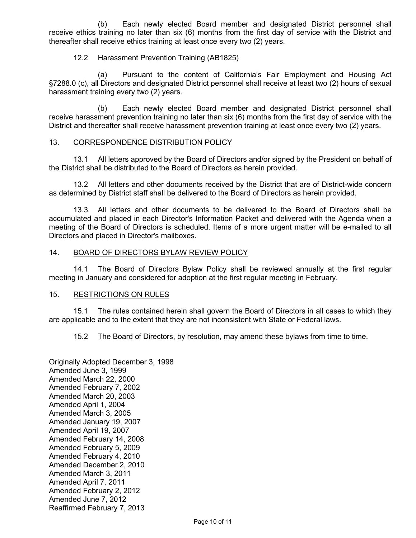(b) Each newly elected Board member and designated District personnel shall receive ethics training no later than six (6) months from the first day of service with the District and thereafter shall receive ethics training at least once every two (2) years.

#### 12.2 Harassment Prevention Training (AB1825)

(a) Pursuant to the content of California's Fair Employment and Housing Act §7288.0 (c), all Directors and designated District personnel shall receive at least two (2) hours of sexual harassment training every two (2) years.

(b) Each newly elected Board member and designated District personnel shall receive harassment prevention training no later than six (6) months from the first day of service with the District and thereafter shall receive harassment prevention training at least once every two (2) years.

#### 13. CORRESPONDENCE DISTRIBUTION POLICY

13.1 All letters approved by the Board of Directors and/or signed by the President on behalf of the District shall be distributed to the Board of Directors as herein provided.

13.2 All letters and other documents received by the District that are of District-wide concern as determined by District staff shall be delivered to the Board of Directors as herein provided.

13.3 All letters and other documents to be delivered to the Board of Directors shall be accumulated and placed in each Director's Information Packet and delivered with the Agenda when a meeting of the Board of Directors is scheduled. Items of a more urgent matter will be e-mailed to all Directors and placed in Director's mailboxes.

#### 14. BOARD OF DIRECTORS BYLAW REVIEW POLICY

14.1 The Board of Directors Bylaw Policy shall be reviewed annually at the first regular meeting in January and considered for adoption at the first regular meeting in February.

#### 15. RESTRICTIONS ON RULES

15.1 The rules contained herein shall govern the Board of Directors in all cases to which they are applicable and to the extent that they are not inconsistent with State or Federal laws.

15.2 The Board of Directors, by resolution, may amend these bylaws from time to time.

Originally Adopted December 3, 1998 Amended June 3, 1999 Amended March 22, 2000 Amended February 7, 2002 Amended March 20, 2003 Amended April 1, 2004 Amended March 3, 2005 Amended January 19, 2007 Amended April 19, 2007 Amended February 14, 2008 Amended February 5, 2009 Amended February 4, 2010 Amended December 2, 2010 Amended March 3, 2011 Amended April 7, 2011 Amended February 2, 2012 Amended June 7, 2012 Reaffirmed February 7, 2013